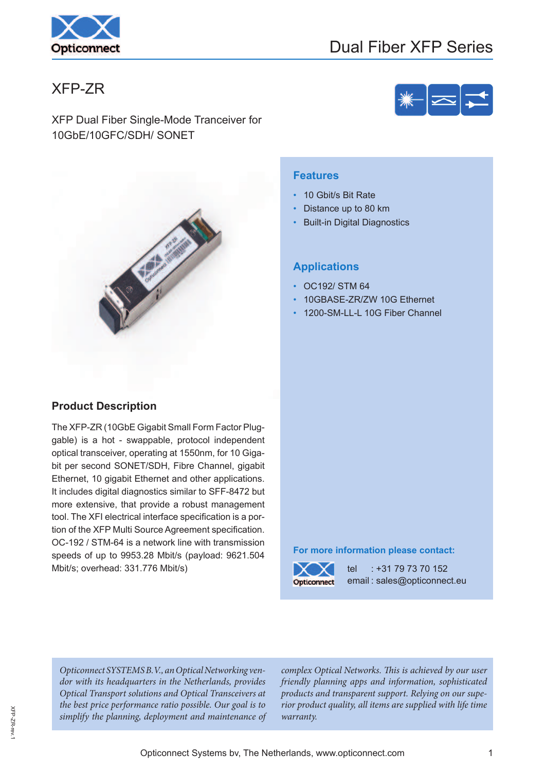

# Dual Fiber XFP Series

# XFP-ZR

XFP Dual Fiber Single-Mode Tranceiver for 10GbE/10GFC/SDH/ SONET



#### **Features**

- 10 Gbit/s Bit Rate
- Distance up to 80 km
- **Built-in Digital Diagnostics**

#### **Applications**

- OC192/ STM 64
- 10GBASE-ZR/ZW 10G Ethernet
- 1200-SM-LL-L 10G Fiber Channel

### **Product Description**

The XFP-ZR (10GbE Gigabit Small Form Factor Pluggable) is a hot - swappable, protocol independent optical transceiver, operating at 1550nm, for 10 Gigabit per second SONET/SDH, Fibre Channel, gigabit Ethernet, 10 gigabit Ethernet and other applications. It includes digital diagnostics similar to SFF-8472 but more extensive, that provide a robust management tool. The XFI electrical interface specification is a portion of the XFP Multi Source Agreement specification. OC-192 / STM-64 is a network line with transmission speeds of up to 9953.28 Mbit/s (payload: 9621.504 Mbit/s; overhead: 331.776 Mbit/s)

#### **For more information please contact:**



tel : +31 79 73 70 152 email : sales@opticonnect.eu

Opticonnect SYSTEMS B.V., an Optical Networking vendor with its headquarters in the Netherlands, provides Optical Transport solutions and Optical Transceivers at the best price performance ratio possible. Our goal is to simplify the planning, deployment and maintenance of

complex Optical Networks. This is achieved by our user friendly planning apps and information, sophisticated products and transparent support. Relying on our superior product quality, all items are supplied with life time warranty.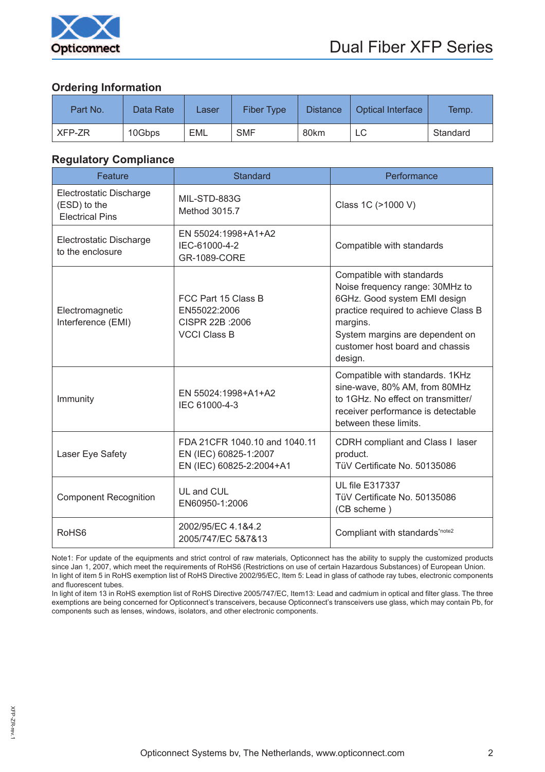

### **Ordering Information**

| Part No. | Data Rate | Laser | <b>Fiber Type</b> | <b>Distance</b> | <b>Optical Interface</b> | Temp.    |
|----------|-----------|-------|-------------------|-----------------|--------------------------|----------|
| XFP-ZR   | 10Gbps    | EML   | <b>SMF</b>        | 80km            | LC                       | Standard |

#### **Regulatory Compliance**

| Feature                                                           | <b>Standard</b>                                                                    | Performance                                                                                                                                                                                                                       |  |  |  |
|-------------------------------------------------------------------|------------------------------------------------------------------------------------|-----------------------------------------------------------------------------------------------------------------------------------------------------------------------------------------------------------------------------------|--|--|--|
| Electrostatic Discharge<br>(ESD) to the<br><b>Electrical Pins</b> | MIL-STD-883G<br>Method 3015.7                                                      | Class 1C (>1000 V)                                                                                                                                                                                                                |  |  |  |
| Electrostatic Discharge<br>to the enclosure                       | EN 55024:1998+A1+A2<br>IEC-61000-4-2<br>GR-1089-CORE                               | Compatible with standards                                                                                                                                                                                                         |  |  |  |
| Electromagnetic<br>Interference (EMI)                             | FCC Part 15 Class B<br>EN55022:2006<br>CISPR 22B : 2006<br><b>VCCI Class B</b>     | Compatible with standards<br>Noise frequency range: 30MHz to<br>6GHz. Good system EMI design<br>practice required to achieve Class B<br>margins.<br>System margins are dependent on<br>customer host board and chassis<br>design. |  |  |  |
| Immunity                                                          | EN 55024:1998+A1+A2<br>IEC 61000-4-3                                               | Compatible with standards. 1KHz<br>sine-wave, 80% AM, from 80MHz<br>to 1GHz. No effect on transmitter/<br>receiver performance is detectable<br>between these limits.                                                             |  |  |  |
| Laser Eye Safety                                                  | FDA 21CFR 1040.10 and 1040.11<br>EN (IEC) 60825-1:2007<br>EN (IEC) 60825-2:2004+A1 | CDRH compliant and Class I laser<br>product.<br>TüV Certificate No. 50135086                                                                                                                                                      |  |  |  |
| <b>Component Recognition</b>                                      | UL and CUL<br>EN60950-1:2006                                                       | <b>UL file E317337</b><br>TüV Certificate No. 50135086<br>(CB scheme)                                                                                                                                                             |  |  |  |
| RoHS <sub>6</sub>                                                 | 2002/95/EC 4.1&4.2<br>2005/747/EC 5&7&13                                           | Compliant with standards*note2                                                                                                                                                                                                    |  |  |  |

Note1: For update of the equipments and strict control of raw materials, Opticonnect has the ability to supply the customized products since Jan 1, 2007, which meet the requirements of RoHS6 (Restrictions on use of certain Hazardous Substances) of European Union. In light of item 5 in RoHS exemption list of RoHS Directive 2002/95/EC, Item 5: Lead in glass of cathode ray tubes, electronic components and fluorescent tubes.

In light of item 13 in RoHS exemption list of RoHS Directive 2005/747/EC, Item13: Lead and cadmium in optical and filter glass. The three exemptions are being concerned for Opticonnect's transceivers, because Opticonnect's transceivers use glass, which may contain Pb, for components such as lenses, windows, isolators, and other electronic components.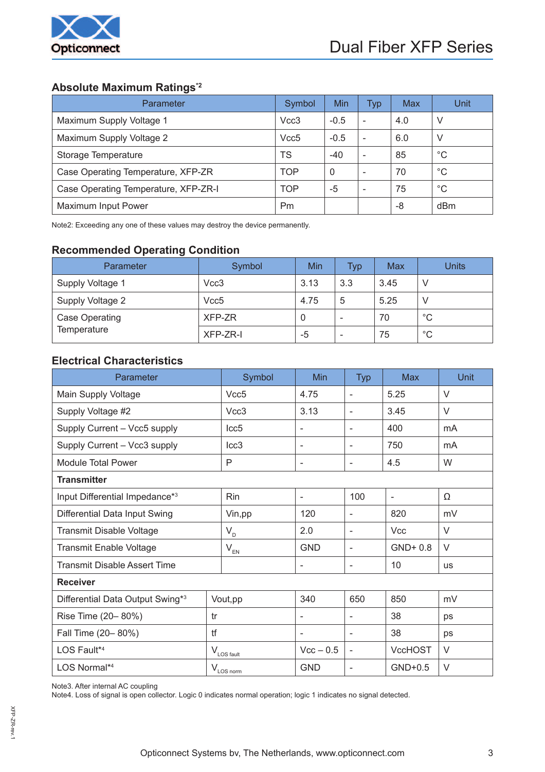

# **Absolute Maximum Ratings\*2**

| <b>Parameter</b>                     | Symbol     | <b>Min</b> | Typ                      | Max | Unit            |
|--------------------------------------|------------|------------|--------------------------|-----|-----------------|
| Maximum Supply Voltage 1             | Vcc3       | $-0.5$     | $\overline{\phantom{0}}$ | 4.0 | V               |
| Maximum Supply Voltage 2             | Vcc5       | $-0.5$     | $\qquad \qquad$          | 6.0 | V               |
| Storage Temperature                  | TS         | $-40$      | $\overline{\phantom{0}}$ | 85  | $^{\circ}C$     |
| Case Operating Temperature, XFP-ZR   | TOP        | 0          | $\qquad \qquad$          | 70  | °C              |
| Case Operating Temperature, XFP-ZR-I | <b>TOP</b> | -5         | $\qquad \qquad$          | 75  | $^{\circ}C$     |
| Maximum Input Power                  | <b>Pm</b>  |            |                          | -8  | d <sub>Bm</sub> |

Note2: Exceeding any one of these values may destroy the device permanently.

## **Recommended Operating Condition**

| Parameter          | Symbol           | Min  | Typ                      | Max  | <b>Units</b> |
|--------------------|------------------|------|--------------------------|------|--------------|
| Supply Voltage 1   | Vcc3             | 3.13 | 3.3                      | 3.45 |              |
| Supply Voltage 2   | Vcc <sub>5</sub> | 4.75 | 5                        | 5.25 |              |
| Case Operating     | XFP-ZR           | 0    | -                        | 70   | $^{\circ}C$  |
| <b>Temperature</b> | XFP-ZR-I         | -5   | $\overline{\phantom{0}}$ | 75   | $^{\circ}C$  |

## **Electrical Characteristics**

| Parameter                           |   | Symbol                 | Min                      | <b>Typ</b>               | <b>Max</b>     | Unit      |
|-------------------------------------|---|------------------------|--------------------------|--------------------------|----------------|-----------|
| Main Supply Voltage                 |   | Vcc5                   | 4.75                     | $\sim$                   | 5.25           | $\vee$    |
| Supply Voltage #2                   |   | Vcc3                   | 3.13                     | $\blacksquare$           | 3.45           | V         |
| Supply Current - Vcc5 supply        |   | Icc <sub>5</sub>       | $\overline{\phantom{a}}$ | $\blacksquare$           | 400            | mA        |
| Supply Current - Vcc3 supply        |   | Icc <sub>3</sub>       | $\overline{\phantom{a}}$ | $\overline{\phantom{a}}$ | 750            | mA        |
| <b>Module Total Power</b>           | P |                        | $\overline{\phantom{a}}$ | $\overline{\phantom{a}}$ | 4.5            | W         |
| <b>Transmitter</b>                  |   |                        |                          |                          |                |           |
| Input Differential Impedance*3      |   | Rin                    | $\overline{\phantom{a}}$ | 100                      | $\blacksquare$ | Ω         |
| Differential Data Input Swing       |   | Vin, pp                | 120                      | $\overline{\phantom{a}}$ | 820            | mV        |
| Transmit Disable Voltage            |   | $V_{D}$                | 2.0                      | $\overline{\phantom{a}}$ | <b>Vcc</b>     | V         |
| <b>Transmit Enable Voltage</b>      |   | $V_{EN}$               | <b>GND</b>               | $\blacksquare$           | GND+0.8        | V         |
| <b>Transmit Disable Assert Time</b> |   |                        | $\overline{\phantom{a}}$ | $\overline{\phantom{a}}$ | 10             | <b>us</b> |
| <b>Receiver</b>                     |   |                        |                          |                          |                |           |
| Differential Data Output Swing*3    |   | Vout, pp               | 340                      | 650                      | 850            | mV        |
| Rise Time (20-80%)<br>tr            |   |                        | $\overline{\phantom{a}}$ | $\blacksquare$           | 38             | ps        |
| tf<br>Fall Time (20-80%)            |   |                        | $\blacksquare$           | $\blacksquare$           | 38             | ps        |
| LOS Fault* <sup>4</sup>             |   | $V_{\text{LOS}}$ fault | $Vcc - 0.5$              | $\blacksquare$           | <b>VccHOST</b> | V         |
| LOS Normal*4                        |   | $V_{\text{LOS\_norm}}$ | <b>GND</b>               | $\overline{\phantom{a}}$ | $GND+0.5$      | V         |

Note3. After internal AC coupling

Note4. Loss of signal is open collector. Logic 0 indicates normal operation; logic 1 indicates no signal detected.